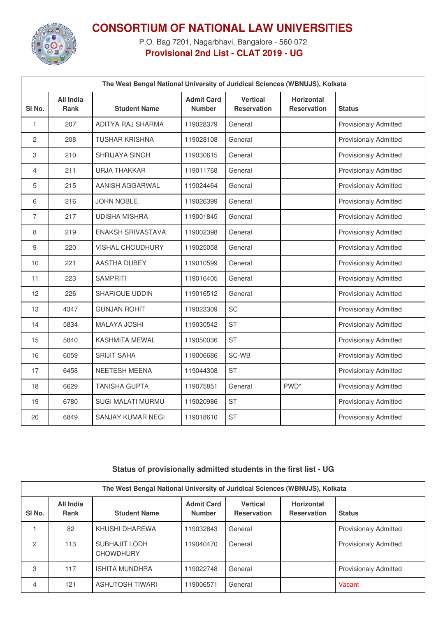

## **CONSORTIUM OF NATIONAL LAW UNIVERSITIES**

P.O. Bag 7201, Nagarbhavi, Bangalore - 560 072 **Provisional 2nd List - CLAT 2019 - UG**

|                   | The West Bengal National University of Juridical Sciences (WBNUJS), Kolkata |                          |                                    |                                       |                                  |                              |  |  |
|-------------------|-----------------------------------------------------------------------------|--------------------------|------------------------------------|---------------------------------------|----------------------------------|------------------------------|--|--|
| SI <sub>No.</sub> | <b>All India</b><br><b>Rank</b>                                             | <b>Student Name</b>      | <b>Admit Card</b><br><b>Number</b> | <b>Vertical</b><br><b>Reservation</b> | Horizontal<br><b>Reservation</b> | <b>Status</b>                |  |  |
| $\mathbf{1}$      | 207                                                                         | ADITYA RAJ SHARMA        | 119028379                          | General                               |                                  | <b>Provisionaly Admitted</b> |  |  |
| $\overline{c}$    | 208                                                                         | <b>TUSHAR KRISHNA</b>    | 119028108                          | General                               |                                  | <b>Provisionaly Admitted</b> |  |  |
| 3                 | 210                                                                         | <b>SHRIJAYA SINGH</b>    | 119030615                          | General                               |                                  | <b>Provisionaly Admitted</b> |  |  |
| 4                 | 211                                                                         | <b>URJA THAKKAR</b>      | 119011768                          | General                               |                                  | <b>Provisionaly Admitted</b> |  |  |
| 5                 | 215                                                                         | AANISH AGGARWAL          | 119024464                          | General                               |                                  | <b>Provisionaly Admitted</b> |  |  |
| 6                 | 216                                                                         | JOHN NOBLE               | 119026399                          | General                               |                                  | <b>Provisionaly Admitted</b> |  |  |
| $\overline{7}$    | 217                                                                         | <b>UDISHA MISHRA</b>     | 119001845                          | General                               |                                  | <b>Provisionaly Admitted</b> |  |  |
| 8                 | 219                                                                         | <b>ENAKSH SRIVASTAVA</b> | 119002398                          | General                               |                                  | <b>Provisionaly Admitted</b> |  |  |
| 9                 | 220                                                                         | <b>VISHAL CHOUDHURY</b>  | 119025058                          | General                               |                                  | <b>Provisionaly Admitted</b> |  |  |
| 10                | 221                                                                         | AASTHA DUBEY             | 119010599                          | General                               |                                  | <b>Provisionaly Admitted</b> |  |  |
| 11                | 223                                                                         | <b>SAMPRITI</b>          | 119016405                          | General                               |                                  | <b>Provisionaly Admitted</b> |  |  |
| $12 \overline{ }$ | 226                                                                         | <b>SHARIQUE UDDIN</b>    | 119016512                          | General                               |                                  | <b>Provisionaly Admitted</b> |  |  |
| 13                | 4347                                                                        | <b>GUNJAN ROHIT</b>      | 119023309                          | <b>SC</b>                             |                                  | <b>Provisionaly Admitted</b> |  |  |
| 14                | 5834                                                                        | <b>MALAYA JOSHI</b>      | 119030542                          | <b>ST</b>                             |                                  | <b>Provisionaly Admitted</b> |  |  |
| 15                | 5840                                                                        | <b>KASHMITA MEWAL</b>    | 119050036                          | <b>ST</b>                             |                                  | <b>Provisionaly Admitted</b> |  |  |
| 16                | 6059                                                                        | <b>SRIJIT SAHA</b>       | 119006686                          | SC-WB                                 |                                  | <b>Provisionaly Admitted</b> |  |  |
| 17                | 6458                                                                        | NEETESH MEENA            | 119044308                          | <b>ST</b>                             |                                  | <b>Provisionaly Admitted</b> |  |  |
| 18                | 6629                                                                        | <b>TANISHA GUPTA</b>     | 119075851                          | General                               | PWD <sup>*</sup>                 | <b>Provisionaly Admitted</b> |  |  |
| 19                | 6780                                                                        | SUGI MALATI MURMU        | 119020986                          | <b>ST</b>                             |                                  | <b>Provisionaly Admitted</b> |  |  |
| 20                | 6849                                                                        | SANJAY KUMAR NEGI        | 119018610                          | <b>ST</b>                             |                                  | <b>Provisionaly Admitted</b> |  |  |

## **Status of provisionally admitted students in the first list - UG**

| The West Bengal National University of Juridical Sciences (WBNUJS), Kolkata |                          |                                   |                                    |                                       |                                         |                              |  |  |
|-----------------------------------------------------------------------------|--------------------------|-----------------------------------|------------------------------------|---------------------------------------|-----------------------------------------|------------------------------|--|--|
| SI <sub>No.</sub>                                                           | All India<br><b>Rank</b> | <b>Student Name</b>               | <b>Admit Card</b><br><b>Number</b> | <b>Vertical</b><br><b>Reservation</b> | <b>Horizontal</b><br><b>Reservation</b> | <b>Status</b>                |  |  |
|                                                                             | 82                       | KHUSHI DHAREWA                    | 19032843                           | General                               |                                         | <b>Provisionaly Admitted</b> |  |  |
| 2                                                                           | 113                      | SUBHAJIT LODH<br><b>CHOWDHURY</b> | 119040470                          | General                               |                                         | <b>Provisionaly Admitted</b> |  |  |
| 3                                                                           | 117                      | <b>ISHITA MUNDHRA</b>             | 119022748                          | General                               |                                         | <b>Provisionaly Admitted</b> |  |  |
| 4                                                                           | 121                      | ASHUTOSH TIWARI                   | 19006571                           | General                               |                                         | Vacant                       |  |  |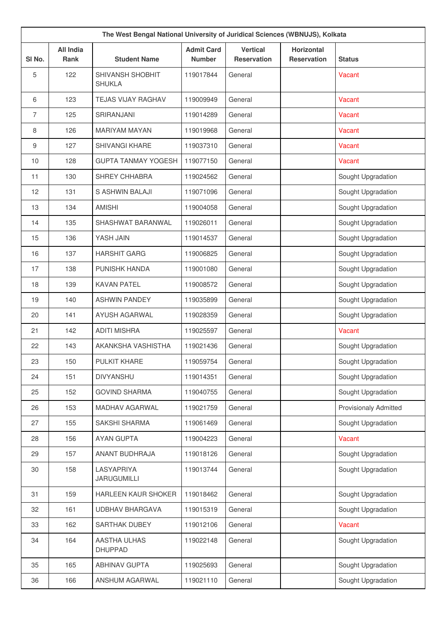|                   |                                 | The West Bengal National University of Juridical Sciences (WBNUJS), Kolkata |                                    |                                       |                                         |                              |
|-------------------|---------------------------------|-----------------------------------------------------------------------------|------------------------------------|---------------------------------------|-----------------------------------------|------------------------------|
| SI <sub>No.</sub> | <b>All India</b><br><b>Rank</b> | <b>Student Name</b>                                                         | <b>Admit Card</b><br><b>Number</b> | <b>Vertical</b><br><b>Reservation</b> | <b>Horizontal</b><br><b>Reservation</b> | <b>Status</b>                |
| 5                 | 122                             | SHIVANSH SHOBHIT<br><b>SHUKLA</b>                                           | 119017844                          | General                               |                                         | Vacant                       |
| 6                 | 123                             | <b>TEJAS VIJAY RAGHAV</b>                                                   | 119009949                          | General                               |                                         | Vacant                       |
| $\overline{7}$    | 125                             | SRIRANJANI                                                                  | 119014289                          | General                               |                                         | Vacant                       |
| 8                 | 126                             | <b>MARIYAM MAYAN</b>                                                        | 119019968                          | General                               |                                         | Vacant                       |
| 9                 | 127                             | SHIVANGI KHARE                                                              | 119037310                          | General                               |                                         | Vacant                       |
| 10                | 128                             | <b>GUPTA TANMAY YOGESH</b>                                                  | 119077150                          | General                               |                                         | Vacant                       |
| 11                | 130                             | SHREY CHHABRA                                                               | 119024562                          | General                               |                                         | Sought Upgradation           |
| 12                | 131                             | <b>S ASHWIN BALAJI</b>                                                      | 119071096                          | General                               |                                         | Sought Upgradation           |
| 13                | 134                             | <b>AMISHI</b>                                                               | 119004058                          | General                               |                                         | Sought Upgradation           |
| 14                | 135                             | SHASHWAT BARANWAL                                                           | 119026011                          | General                               |                                         | Sought Upgradation           |
| 15                | 136                             | YASH JAIN                                                                   | 119014537                          | General                               |                                         | Sought Upgradation           |
| 16                | 137                             | <b>HARSHIT GARG</b>                                                         | 119006825                          | General                               |                                         | Sought Upgradation           |
| 17                | 138                             | PUNISHK HANDA                                                               | 119001080                          | General                               |                                         | Sought Upgradation           |
| 18                | 139                             | <b>KAVAN PATEL</b>                                                          | 119008572                          | General                               |                                         | Sought Upgradation           |
| 19                | 140                             | <b>ASHWIN PANDEY</b>                                                        | 119035899                          | General                               |                                         | Sought Upgradation           |
| 20                | 141                             | <b>AYUSH AGARWAL</b>                                                        | 119028359                          | General                               |                                         | Sought Upgradation           |
| 21                | 142                             | <b>ADITI MISHRA</b>                                                         | 119025597                          | General                               |                                         | <b>Vacant</b>                |
| 22                | 143                             | AKANKSHA VASHISTHA                                                          | 119021436                          | General                               |                                         | Sought Upgradation           |
| 23                | 150                             | PULKIT KHARE                                                                | 119059754                          | General                               |                                         | Sought Upgradation           |
| 24                | 151                             | <b>DIVYANSHU</b>                                                            | 119014351                          | General                               |                                         | Sought Upgradation           |
| 25                | 152                             | <b>GOVIND SHARMA</b>                                                        | 119040755                          | General                               |                                         | Sought Upgradation           |
| 26                | 153                             | MADHAV AGARWAL                                                              | 119021759                          | General                               |                                         | <b>Provisionaly Admitted</b> |
| 27                | 155                             | SAKSHI SHARMA                                                               | 119061469                          | General                               |                                         | Sought Upgradation           |
| 28                | 156                             | <b>AYAN GUPTA</b>                                                           | 119004223                          | General                               |                                         | Vacant                       |
| 29                | 157                             | ANANT BUDHRAJA                                                              | 119018126                          | General                               |                                         | Sought Upgradation           |
| 30                | 158                             | LASYAPRIYA<br><b>JARUGUMILLI</b>                                            | 119013744                          | General                               |                                         | Sought Upgradation           |
| 31                | 159                             | HARLEEN KAUR SHOKER                                                         | 119018462                          | General                               |                                         | Sought Upgradation           |
| 32                | 161                             | <b>UDBHAV BHARGAVA</b>                                                      | 119015319                          | General                               |                                         | Sought Upgradation           |
| 33                | 162                             | SARTHAK DUBEY                                                               | 119012106                          | General                               |                                         | Vacant                       |
| 34                | 164                             | AASTHA ULHAS<br><b>DHUPPAD</b>                                              | 119022148                          | General                               |                                         | Sought Upgradation           |
| 35                | 165                             | <b>ABHINAV GUPTA</b>                                                        | 119025693                          | General                               |                                         | Sought Upgradation           |
| 36                | 166                             | ANSHUM AGARWAL                                                              | 119021110                          | General                               |                                         | Sought Upgradation           |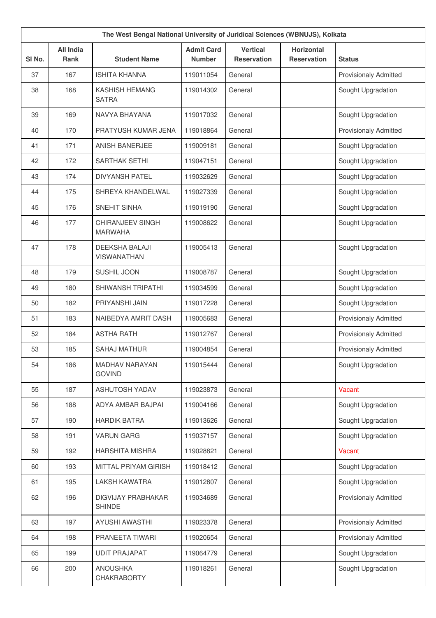|                   | The West Bengal National University of Juridical Sciences (WBNUJS), Kolkata |                                             |                                    |                                       |                                         |                              |  |  |
|-------------------|-----------------------------------------------------------------------------|---------------------------------------------|------------------------------------|---------------------------------------|-----------------------------------------|------------------------------|--|--|
| SI <sub>No.</sub> | <b>All India</b><br><b>Rank</b>                                             | <b>Student Name</b>                         | <b>Admit Card</b><br><b>Number</b> | <b>Vertical</b><br><b>Reservation</b> | <b>Horizontal</b><br><b>Reservation</b> | <b>Status</b>                |  |  |
| 37                | 167                                                                         | <b>ISHITA KHANNA</b>                        | 119011054                          | General                               |                                         | <b>Provisionaly Admitted</b> |  |  |
| 38                | 168                                                                         | <b>KASHISH HEMANG</b><br><b>SATRA</b>       | 119014302                          | General                               |                                         | Sought Upgradation           |  |  |
| 39                | 169                                                                         | NAVYA BHAYANA                               | 119017032                          | General                               |                                         | Sought Upgradation           |  |  |
| 40                | 170                                                                         | PRATYUSH KUMAR JENA                         | 119018864                          | General                               |                                         | <b>Provisionaly Admitted</b> |  |  |
| 41                | 171                                                                         | ANISH BANERJEE                              | 119009181                          | General                               |                                         | Sought Upgradation           |  |  |
| 42                | 172                                                                         | <b>SARTHAK SETHI</b>                        | 119047151                          | General                               |                                         | Sought Upgradation           |  |  |
| 43                | 174                                                                         | <b>DIVYANSH PATEL</b>                       | 119032629                          | General                               |                                         | Sought Upgradation           |  |  |
| 44                | 175                                                                         | SHREYA KHANDELWAL                           | 119027339                          | General                               |                                         | Sought Upgradation           |  |  |
| 45                | 176                                                                         | SNEHIT SINHA                                | 119019190                          | General                               |                                         | Sought Upgradation           |  |  |
| 46                | 177                                                                         | CHIRANJEEV SINGH<br><b>MARWAHA</b>          | 119008622                          | General                               |                                         | Sought Upgradation           |  |  |
| 47                | 178                                                                         | <b>DEEKSHA BALAJI</b><br><b>VISWANATHAN</b> | 119005413                          | General                               |                                         | Sought Upgradation           |  |  |
| 48                | 179                                                                         | SUSHIL JOON                                 | 119008787                          | General                               |                                         | Sought Upgradation           |  |  |
| 49                | 180                                                                         | SHIWANSH TRIPATHI                           | 119034599                          | General                               |                                         | Sought Upgradation           |  |  |
| 50                | 182                                                                         | PRIYANSHI JAIN                              | 119017228                          | General                               |                                         | Sought Upgradation           |  |  |
| 51                | 183                                                                         | NAIBEDYA AMRIT DASH                         | 119005683                          | General                               |                                         | <b>Provisionaly Admitted</b> |  |  |
| 52                | 184                                                                         | <b>ASTHA RATH</b>                           | 119012767                          | General                               |                                         | <b>Provisionaly Admitted</b> |  |  |
| 53                | 185                                                                         | <b>SAHAJ MATHUR</b>                         | 119004854                          | General                               |                                         | <b>Provisionaly Admitted</b> |  |  |
| 54                | 186                                                                         | <b>MADHAV NARAYAN</b><br><b>GOVIND</b>      | 119015444                          | General                               |                                         | Sought Upgradation           |  |  |
| 55                | 187                                                                         | <b>ASHUTOSH YADAV</b>                       | 119023873                          | General                               |                                         | Vacant                       |  |  |
| 56                | 188                                                                         | ADYA AMBAR BAJPAI                           | 119004166                          | General                               |                                         | Sought Upgradation           |  |  |
| 57                | 190                                                                         | <b>HARDIK BATRA</b>                         | 119013626                          | General                               |                                         | Sought Upgradation           |  |  |
| 58                | 191                                                                         | <b>VARUN GARG</b>                           | 119037157                          | General                               |                                         | Sought Upgradation           |  |  |
| 59                | 192                                                                         | <b>HARSHITA MISHRA</b>                      | 119028821                          | General                               |                                         | Vacant                       |  |  |
| 60                | 193                                                                         | MITTAL PRIYAM GIRISH                        | 119018412                          | General                               |                                         | Sought Upgradation           |  |  |
| 61                | 195                                                                         | <b>LAKSH KAWATRA</b>                        | 119012807                          | General                               |                                         | Sought Upgradation           |  |  |
| 62                | 196                                                                         | <b>DIGVIJAY PRABHAKAR</b><br><b>SHINDE</b>  | 119034689                          | General                               |                                         | <b>Provisionaly Admitted</b> |  |  |
| 63                | 197                                                                         | <b>AYUSHI AWASTHI</b>                       | 119023378                          | General                               |                                         | <b>Provisionaly Admitted</b> |  |  |
| 64                | 198                                                                         | PRANEETA TIWARI                             | 119020654                          | General                               |                                         | Provisionaly Admitted        |  |  |
| 65                | 199                                                                         | <b>UDIT PRAJAPAT</b>                        | 119064779                          | General                               |                                         | Sought Upgradation           |  |  |
| 66                | 200                                                                         | <b>ANOUSHKA</b><br><b>CHAKRABORTY</b>       | 119018261                          | General                               |                                         | Sought Upgradation           |  |  |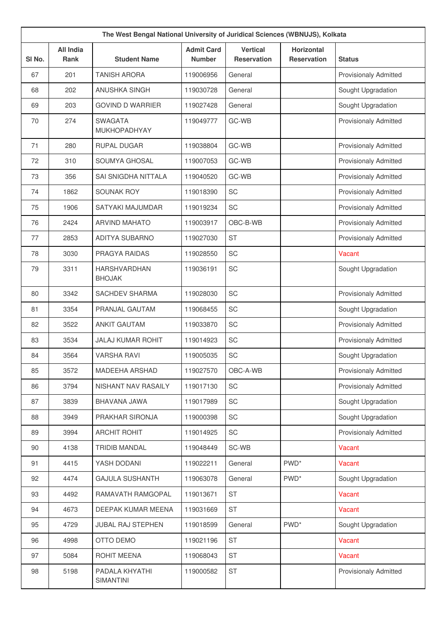|        | The West Bengal National University of Juridical Sciences (WBNUJS), Kolkata |                                |                                    |                                       |                                         |                              |  |  |
|--------|-----------------------------------------------------------------------------|--------------------------------|------------------------------------|---------------------------------------|-----------------------------------------|------------------------------|--|--|
| SI No. | <b>All India</b><br><b>Rank</b>                                             | <b>Student Name</b>            | <b>Admit Card</b><br><b>Number</b> | <b>Vertical</b><br><b>Reservation</b> | <b>Horizontal</b><br><b>Reservation</b> | <b>Status</b>                |  |  |
| 67     | 201                                                                         | <b>TANISH ARORA</b>            | 119006956                          | General                               |                                         | <b>Provisionaly Admitted</b> |  |  |
| 68     | 202                                                                         | ANUSHKA SINGH                  | 119030728                          | General                               |                                         | Sought Upgradation           |  |  |
| 69     | 203                                                                         | <b>GOVIND D WARRIER</b>        | 119027428                          | General                               |                                         | Sought Upgradation           |  |  |
| 70     | 274                                                                         | <b>SWAGATA</b><br>MUKHOPADHYAY | 119049777                          | GC-WB                                 |                                         | <b>Provisionaly Admitted</b> |  |  |
| 71     | 280                                                                         | <b>RUPAL DUGAR</b>             | 119038804                          | GC-WB                                 |                                         | <b>Provisionaly Admitted</b> |  |  |
| 72     | 310                                                                         | SOUMYA GHOSAL                  | 119007053                          | GC-WB                                 |                                         | <b>Provisionaly Admitted</b> |  |  |
| 73     | 356                                                                         | SAI SNIGDHA NITTALA            | 119040520                          | GC-WB                                 |                                         | <b>Provisionaly Admitted</b> |  |  |
| 74     | 1862                                                                        | <b>SOUNAK ROY</b>              | 119018390                          | SC                                    |                                         | <b>Provisionaly Admitted</b> |  |  |
| 75     | 1906                                                                        | SATYAKI MAJUMDAR               | 119019234                          | SC                                    |                                         | <b>Provisionaly Admitted</b> |  |  |
| 76     | 2424                                                                        | <b>ARVIND MAHATO</b>           | 119003917                          | OBC-B-WB                              |                                         | <b>Provisionaly Admitted</b> |  |  |
| 77     | 2853                                                                        | <b>ADITYA SUBARNO</b>          | 119027030                          | <b>ST</b>                             |                                         | <b>Provisionaly Admitted</b> |  |  |
| 78     | 3030                                                                        | PRAGYA RAIDAS                  | 119028550                          | SC                                    |                                         | Vacant                       |  |  |
| 79     | 3311                                                                        | HARSHVARDHAN<br><b>BHOJAK</b>  | 119036191                          | SC                                    |                                         | Sought Upgradation           |  |  |
| 80     | 3342                                                                        | <b>SACHDEV SHARMA</b>          | 119028030                          | SC                                    |                                         | <b>Provisionaly Admitted</b> |  |  |
| 81     | 3354                                                                        | PRANJAL GAUTAM                 | 119068455                          | SC                                    |                                         | Sought Upgradation           |  |  |
| 82     | 3522                                                                        | <b>ANKIT GAUTAM</b>            | 119033870                          | SC                                    |                                         | <b>Provisionaly Admitted</b> |  |  |
| 83     | 3534                                                                        | <b>JALAJ KUMAR ROHIT</b>       | 119014923                          | SC                                    |                                         | <b>Provisionaly Admitted</b> |  |  |
| 84     | 3564                                                                        | <b>VARSHA RAVI</b>             | 119005035                          | SC                                    |                                         | Sought Upgradation           |  |  |
| 85     | 3572                                                                        | MADEEHA ARSHAD                 | 119027570                          | OBC-A-WB                              |                                         | Provisionaly Admitted        |  |  |
| 86     | 3794                                                                        | NISHANT NAV RASAILY            | 119017130                          | SC                                    |                                         | Provisionaly Admitted        |  |  |
| 87     | 3839                                                                        | BHAVANA JAWA                   | 119017989                          | SC                                    |                                         | Sought Upgradation           |  |  |
| 88     | 3949                                                                        | PRAKHAR SIRONJA                | 119000398                          | SC                                    |                                         | Sought Upgradation           |  |  |
| 89     | 3994                                                                        | <b>ARCHIT ROHIT</b>            | 119014925                          | SC                                    |                                         | Provisionaly Admitted        |  |  |
| 90     | 4138                                                                        | <b>TRIDIB MANDAL</b>           | 119048449                          | SC-WB                                 |                                         | Vacant                       |  |  |
| 91     | 4415                                                                        | YASH DODANI                    | 119022211                          | General                               | PWD <sup>*</sup>                        | Vacant                       |  |  |
| 92     | 4474                                                                        | <b>GAJULA SUSHANTH</b>         | 119063078                          | General                               | PWD <sup>*</sup>                        | Sought Upgradation           |  |  |
| 93     | 4492                                                                        | RAMAVATH RAMGOPAL              | 119013671                          | <b>ST</b>                             |                                         | Vacant                       |  |  |
| 94     | 4673                                                                        | DEEPAK KUMAR MEENA             | 119031669                          | <b>ST</b>                             |                                         | Vacant                       |  |  |
| 95     | 4729                                                                        | JUBAL RAJ STEPHEN              | 119018599                          | General                               | PWD <sup>*</sup>                        | Sought Upgradation           |  |  |
| 96     | 4998                                                                        | OTTO DEMO                      | 119021196                          | <b>ST</b>                             |                                         | Vacant                       |  |  |
| 97     | 5084                                                                        | ROHIT MEENA                    | 119068043                          | <b>ST</b>                             |                                         | Vacant                       |  |  |
| 98     | 5198                                                                        | PADALA KHYATHI<br>SIMANTINI    | 119000582                          | ST                                    |                                         | <b>Provisionaly Admitted</b> |  |  |